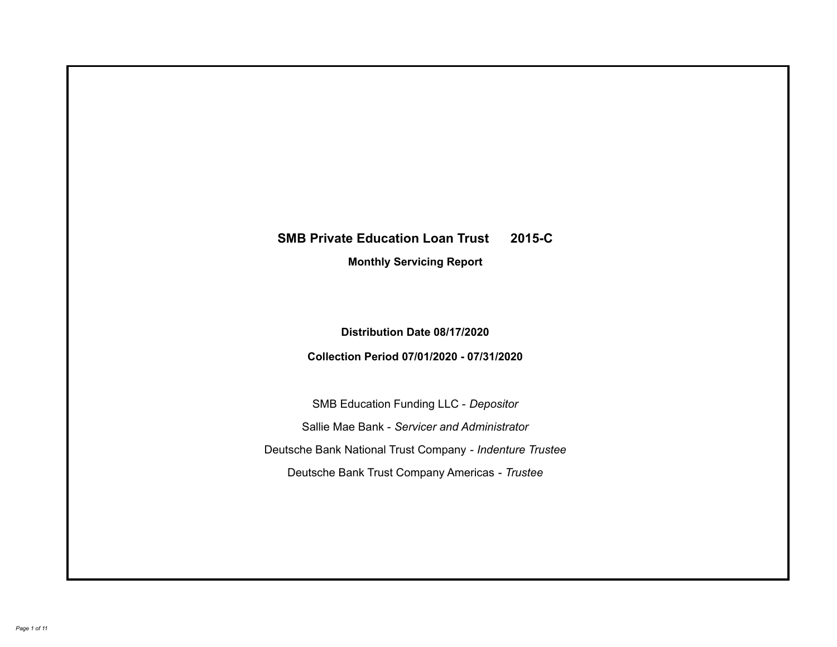# **SMB Private Education Loan Trust 2015-C Monthly Servicing Report**

**Distribution Date 08/17/2020**

**Collection Period 07/01/2020 - 07/31/2020**

SMB Education Funding LLC - *Depositor* Sallie Mae Bank - *Servicer and Administrator* Deutsche Bank National Trust Company - *Indenture Trustee* Deutsche Bank Trust Company Americas - *Trustee*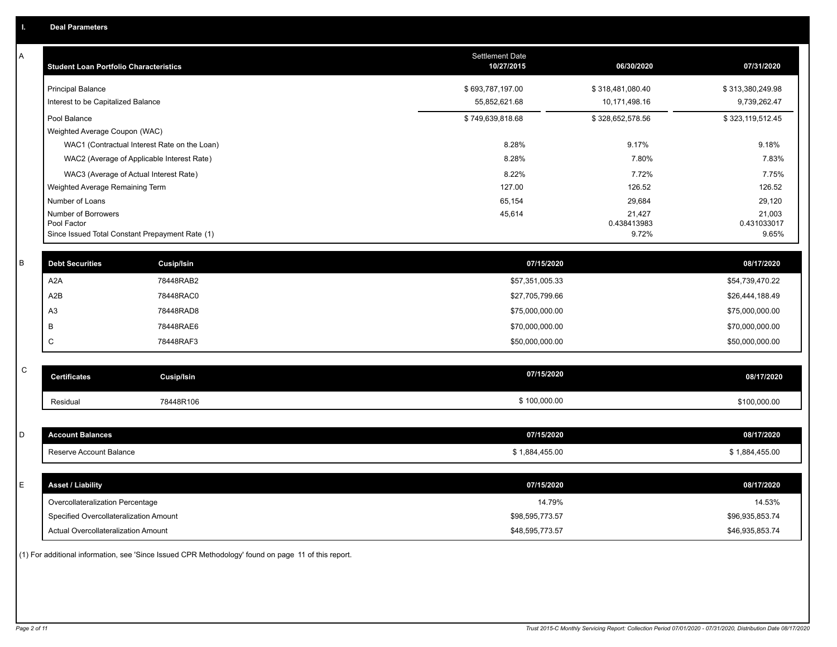| A           | <b>Student Loan Portfolio Characteristics</b>   |            | Settlement Date<br>10/27/2015 | 06/30/2020       | 07/31/2020       |
|-------------|-------------------------------------------------|------------|-------------------------------|------------------|------------------|
|             | <b>Principal Balance</b>                        |            | \$693,787,197.00              | \$318,481,080.40 | \$313,380,249.98 |
|             | Interest to be Capitalized Balance              |            | 55,852,621.68                 | 10,171,498.16    | 9,739,262.47     |
|             | Pool Balance                                    |            | \$749,639,818.68              | \$328,652,578.56 | \$323,119,512.45 |
|             | Weighted Average Coupon (WAC)                   |            |                               |                  |                  |
|             | WAC1 (Contractual Interest Rate on the Loan)    |            | 8.28%                         | 9.17%            | 9.18%            |
|             | WAC2 (Average of Applicable Interest Rate)      |            | 8.28%                         | 7.80%            | 7.83%            |
|             | WAC3 (Average of Actual Interest Rate)          |            | 8.22%                         | 7.72%            | 7.75%            |
|             | Weighted Average Remaining Term                 |            | 127.00                        | 126.52           | 126.52           |
|             | Number of Loans<br>Number of Borrowers          |            | 65,154<br>45,614              | 29,684<br>21,427 | 29,120<br>21,003 |
|             | Pool Factor                                     |            |                               | 0.438413983      | 0.431033017      |
|             | Since Issued Total Constant Prepayment Rate (1) |            |                               | 9.72%            | 9.65%            |
| B           | <b>Debt Securities</b>                          | Cusip/Isin | 07/15/2020                    |                  | 08/17/2020       |
|             | A <sub>2</sub> A                                | 78448RAB2  | \$57,351,005.33               |                  | \$54,739,470.22  |
|             | A <sub>2</sub> B                                | 78448RAC0  | \$27,705,799.66               |                  | \$26,444,188.49  |
|             | A <sub>3</sub>                                  | 78448RAD8  | \$75,000,000.00               |                  | \$75,000,000.00  |
|             | B                                               | 78448RAE6  | \$70,000,000.00               |                  | \$70,000,000.00  |
|             | C                                               | 78448RAF3  | \$50,000,000.00               |                  | \$50,000,000.00  |
|             |                                                 |            |                               |                  |                  |
| $\mathsf C$ | <b>Certificates</b>                             | Cusip/Isin | 07/15/2020                    |                  | 08/17/2020       |
|             | Residual                                        | 78448R106  | \$100,000.00                  |                  | \$100,000.00     |
|             |                                                 |            |                               |                  |                  |
| D           | <b>Account Balances</b>                         |            | 07/15/2020                    |                  | 08/17/2020       |
|             | Reserve Account Balance                         |            | \$1,884,455.00                |                  | \$1,884,455.00   |
|             |                                                 |            |                               |                  |                  |
| E           | <b>Asset / Liability</b>                        |            | 07/15/2020                    |                  | 08/17/2020       |
|             | Overcollateralization Percentage                |            | 14.79%                        |                  | 14.53%           |
|             | Specified Overcollateralization Amount          |            | \$98,595,773.57               |                  | \$96,935,853.74  |
|             | Actual Overcollateralization Amount             |            | \$48,595,773.57               |                  | \$46,935,853.74  |
|             |                                                 |            |                               |                  |                  |

(1) For additional information, see 'Since Issued CPR Methodology' found on page 11 of this report.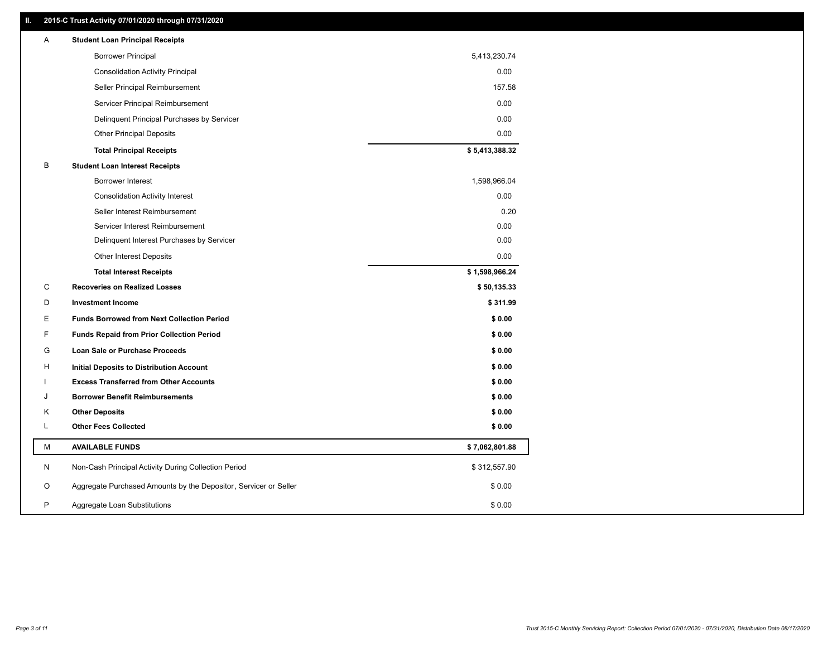## **II. 2015-C Trust Activity 07/01/2020 through 07/31/2020**

| <b>Borrower Principal</b><br>5,413,230.74<br>0.00<br><b>Consolidation Activity Principal</b><br>Seller Principal Reimbursement<br>157.58<br>0.00<br>Servicer Principal Reimbursement<br>0.00<br>Delinquent Principal Purchases by Servicer<br><b>Other Principal Deposits</b><br>0.00<br>\$5,413,388.32<br><b>Total Principal Receipts</b><br>В<br><b>Student Loan Interest Receipts</b><br><b>Borrower Interest</b><br>1,598,966.04<br>0.00<br><b>Consolidation Activity Interest</b><br>Seller Interest Reimbursement<br>0.20<br>0.00<br>Servicer Interest Reimbursement<br>Delinquent Interest Purchases by Servicer<br>0.00<br>0.00<br><b>Other Interest Deposits</b><br>\$1,598,966.24<br><b>Total Interest Receipts</b><br>C<br><b>Recoveries on Realized Losses</b><br>\$50,135.33<br>D<br><b>Investment Income</b><br>\$311.99<br>Е<br><b>Funds Borrowed from Next Collection Period</b><br>\$0.00<br>F<br>\$0.00<br><b>Funds Repaid from Prior Collection Period</b><br>G<br>\$0.00<br><b>Loan Sale or Purchase Proceeds</b><br>\$0.00<br>н<br>Initial Deposits to Distribution Account<br>\$0.00<br><b>Excess Transferred from Other Accounts</b><br><b>Borrower Benefit Reimbursements</b><br>\$0.00<br>J<br><b>Other Deposits</b><br>\$0.00<br>Κ<br>L<br><b>Other Fees Collected</b><br>\$0.00<br>М<br><b>AVAILABLE FUNDS</b><br>\$7,062,801.88<br>N<br>Non-Cash Principal Activity During Collection Period<br>\$312,557.90<br>Aggregate Purchased Amounts by the Depositor, Servicer or Seller<br>O<br>\$0.00<br>P<br>\$0.00<br>Aggregate Loan Substitutions | Α | <b>Student Loan Principal Receipts</b> |  |
|----------------------------------------------------------------------------------------------------------------------------------------------------------------------------------------------------------------------------------------------------------------------------------------------------------------------------------------------------------------------------------------------------------------------------------------------------------------------------------------------------------------------------------------------------------------------------------------------------------------------------------------------------------------------------------------------------------------------------------------------------------------------------------------------------------------------------------------------------------------------------------------------------------------------------------------------------------------------------------------------------------------------------------------------------------------------------------------------------------------------------------------------------------------------------------------------------------------------------------------------------------------------------------------------------------------------------------------------------------------------------------------------------------------------------------------------------------------------------------------------------------------------------------------------------------------------------|---|----------------------------------------|--|
|                                                                                                                                                                                                                                                                                                                                                                                                                                                                                                                                                                                                                                                                                                                                                                                                                                                                                                                                                                                                                                                                                                                                                                                                                                                                                                                                                                                                                                                                                                                                                                            |   |                                        |  |
|                                                                                                                                                                                                                                                                                                                                                                                                                                                                                                                                                                                                                                                                                                                                                                                                                                                                                                                                                                                                                                                                                                                                                                                                                                                                                                                                                                                                                                                                                                                                                                            |   |                                        |  |
|                                                                                                                                                                                                                                                                                                                                                                                                                                                                                                                                                                                                                                                                                                                                                                                                                                                                                                                                                                                                                                                                                                                                                                                                                                                                                                                                                                                                                                                                                                                                                                            |   |                                        |  |
|                                                                                                                                                                                                                                                                                                                                                                                                                                                                                                                                                                                                                                                                                                                                                                                                                                                                                                                                                                                                                                                                                                                                                                                                                                                                                                                                                                                                                                                                                                                                                                            |   |                                        |  |
|                                                                                                                                                                                                                                                                                                                                                                                                                                                                                                                                                                                                                                                                                                                                                                                                                                                                                                                                                                                                                                                                                                                                                                                                                                                                                                                                                                                                                                                                                                                                                                            |   |                                        |  |
|                                                                                                                                                                                                                                                                                                                                                                                                                                                                                                                                                                                                                                                                                                                                                                                                                                                                                                                                                                                                                                                                                                                                                                                                                                                                                                                                                                                                                                                                                                                                                                            |   |                                        |  |
|                                                                                                                                                                                                                                                                                                                                                                                                                                                                                                                                                                                                                                                                                                                                                                                                                                                                                                                                                                                                                                                                                                                                                                                                                                                                                                                                                                                                                                                                                                                                                                            |   |                                        |  |
|                                                                                                                                                                                                                                                                                                                                                                                                                                                                                                                                                                                                                                                                                                                                                                                                                                                                                                                                                                                                                                                                                                                                                                                                                                                                                                                                                                                                                                                                                                                                                                            |   |                                        |  |
|                                                                                                                                                                                                                                                                                                                                                                                                                                                                                                                                                                                                                                                                                                                                                                                                                                                                                                                                                                                                                                                                                                                                                                                                                                                                                                                                                                                                                                                                                                                                                                            |   |                                        |  |
|                                                                                                                                                                                                                                                                                                                                                                                                                                                                                                                                                                                                                                                                                                                                                                                                                                                                                                                                                                                                                                                                                                                                                                                                                                                                                                                                                                                                                                                                                                                                                                            |   |                                        |  |
|                                                                                                                                                                                                                                                                                                                                                                                                                                                                                                                                                                                                                                                                                                                                                                                                                                                                                                                                                                                                                                                                                                                                                                                                                                                                                                                                                                                                                                                                                                                                                                            |   |                                        |  |
|                                                                                                                                                                                                                                                                                                                                                                                                                                                                                                                                                                                                                                                                                                                                                                                                                                                                                                                                                                                                                                                                                                                                                                                                                                                                                                                                                                                                                                                                                                                                                                            |   |                                        |  |
|                                                                                                                                                                                                                                                                                                                                                                                                                                                                                                                                                                                                                                                                                                                                                                                                                                                                                                                                                                                                                                                                                                                                                                                                                                                                                                                                                                                                                                                                                                                                                                            |   |                                        |  |
|                                                                                                                                                                                                                                                                                                                                                                                                                                                                                                                                                                                                                                                                                                                                                                                                                                                                                                                                                                                                                                                                                                                                                                                                                                                                                                                                                                                                                                                                                                                                                                            |   |                                        |  |
|                                                                                                                                                                                                                                                                                                                                                                                                                                                                                                                                                                                                                                                                                                                                                                                                                                                                                                                                                                                                                                                                                                                                                                                                                                                                                                                                                                                                                                                                                                                                                                            |   |                                        |  |
|                                                                                                                                                                                                                                                                                                                                                                                                                                                                                                                                                                                                                                                                                                                                                                                                                                                                                                                                                                                                                                                                                                                                                                                                                                                                                                                                                                                                                                                                                                                                                                            |   |                                        |  |
|                                                                                                                                                                                                                                                                                                                                                                                                                                                                                                                                                                                                                                                                                                                                                                                                                                                                                                                                                                                                                                                                                                                                                                                                                                                                                                                                                                                                                                                                                                                                                                            |   |                                        |  |
|                                                                                                                                                                                                                                                                                                                                                                                                                                                                                                                                                                                                                                                                                                                                                                                                                                                                                                                                                                                                                                                                                                                                                                                                                                                                                                                                                                                                                                                                                                                                                                            |   |                                        |  |
|                                                                                                                                                                                                                                                                                                                                                                                                                                                                                                                                                                                                                                                                                                                                                                                                                                                                                                                                                                                                                                                                                                                                                                                                                                                                                                                                                                                                                                                                                                                                                                            |   |                                        |  |
|                                                                                                                                                                                                                                                                                                                                                                                                                                                                                                                                                                                                                                                                                                                                                                                                                                                                                                                                                                                                                                                                                                                                                                                                                                                                                                                                                                                                                                                                                                                                                                            |   |                                        |  |
|                                                                                                                                                                                                                                                                                                                                                                                                                                                                                                                                                                                                                                                                                                                                                                                                                                                                                                                                                                                                                                                                                                                                                                                                                                                                                                                                                                                                                                                                                                                                                                            |   |                                        |  |
|                                                                                                                                                                                                                                                                                                                                                                                                                                                                                                                                                                                                                                                                                                                                                                                                                                                                                                                                                                                                                                                                                                                                                                                                                                                                                                                                                                                                                                                                                                                                                                            |   |                                        |  |
|                                                                                                                                                                                                                                                                                                                                                                                                                                                                                                                                                                                                                                                                                                                                                                                                                                                                                                                                                                                                                                                                                                                                                                                                                                                                                                                                                                                                                                                                                                                                                                            |   |                                        |  |
|                                                                                                                                                                                                                                                                                                                                                                                                                                                                                                                                                                                                                                                                                                                                                                                                                                                                                                                                                                                                                                                                                                                                                                                                                                                                                                                                                                                                                                                                                                                                                                            |   |                                        |  |
|                                                                                                                                                                                                                                                                                                                                                                                                                                                                                                                                                                                                                                                                                                                                                                                                                                                                                                                                                                                                                                                                                                                                                                                                                                                                                                                                                                                                                                                                                                                                                                            |   |                                        |  |
|                                                                                                                                                                                                                                                                                                                                                                                                                                                                                                                                                                                                                                                                                                                                                                                                                                                                                                                                                                                                                                                                                                                                                                                                                                                                                                                                                                                                                                                                                                                                                                            |   |                                        |  |
|                                                                                                                                                                                                                                                                                                                                                                                                                                                                                                                                                                                                                                                                                                                                                                                                                                                                                                                                                                                                                                                                                                                                                                                                                                                                                                                                                                                                                                                                                                                                                                            |   |                                        |  |
|                                                                                                                                                                                                                                                                                                                                                                                                                                                                                                                                                                                                                                                                                                                                                                                                                                                                                                                                                                                                                                                                                                                                                                                                                                                                                                                                                                                                                                                                                                                                                                            |   |                                        |  |
|                                                                                                                                                                                                                                                                                                                                                                                                                                                                                                                                                                                                                                                                                                                                                                                                                                                                                                                                                                                                                                                                                                                                                                                                                                                                                                                                                                                                                                                                                                                                                                            |   |                                        |  |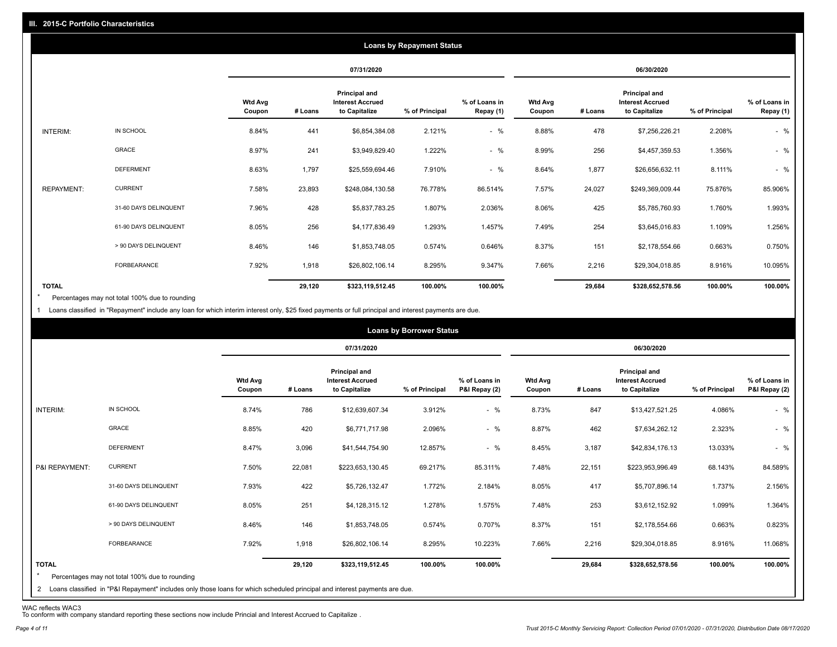|                   |                       |                          | <b>Loans by Repayment Status</b> |                                                                  |                |                            |                          |         |                                                           |                |                            |
|-------------------|-----------------------|--------------------------|----------------------------------|------------------------------------------------------------------|----------------|----------------------------|--------------------------|---------|-----------------------------------------------------------|----------------|----------------------------|
|                   |                       |                          |                                  | 07/31/2020                                                       |                |                            |                          |         | 06/30/2020                                                |                |                            |
|                   |                       | <b>Wtd Avg</b><br>Coupon | # Loans                          | <b>Principal and</b><br><b>Interest Accrued</b><br>to Capitalize | % of Principal | % of Loans in<br>Repay (1) | <b>Wtd Avg</b><br>Coupon | # Loans | Principal and<br><b>Interest Accrued</b><br>to Capitalize | % of Principal | % of Loans in<br>Repay (1) |
| INTERIM:          | IN SCHOOL             | 8.84%                    | 441                              | \$6,854,384.08                                                   | 2.121%         | $-$ %                      | 8.88%                    | 478     | \$7,256,226.21                                            | 2.208%         | $-$ %                      |
|                   | <b>GRACE</b>          | 8.97%                    | 241                              | \$3,949,829.40                                                   | 1.222%         | $-$ %                      | 8.99%                    | 256     | \$4,457,359.53                                            | 1.356%         | $-$ %                      |
|                   | <b>DEFERMENT</b>      | 8.63%                    | 1,797                            | \$25,559,694.46                                                  | 7.910%         | $-$ %                      | 8.64%                    | 1,877   | \$26,656,632.11                                           | 8.111%         | $-$ %                      |
| <b>REPAYMENT:</b> | <b>CURRENT</b>        | 7.58%                    | 23,893                           | \$248,084,130.58                                                 | 76.778%        | 86.514%                    | 7.57%                    | 24,027  | \$249,369,009.44                                          | 75.876%        | 85.906%                    |
|                   | 31-60 DAYS DELINQUENT | 7.96%                    | 428                              | \$5,837,783.25                                                   | 1.807%         | 2.036%                     | 8.06%                    | 425     | \$5,785,760.93                                            | 1.760%         | 1.993%                     |
|                   | 61-90 DAYS DELINQUENT | 8.05%                    | 256                              | \$4,177,836.49                                                   | 1.293%         | 1.457%                     | 7.49%                    | 254     | \$3,645,016.83                                            | 1.109%         | 1.256%                     |
|                   | > 90 DAYS DELINQUENT  | 8.46%                    | 146                              | \$1,853,748.05                                                   | 0.574%         | 0.646%                     | 8.37%                    | 151     | \$2,178,554.66                                            | 0.663%         | 0.750%                     |
|                   | FORBEARANCE           | 7.92%                    | 1,918                            | \$26,802,106.14                                                  | 8.295%         | 9.347%                     | 7.66%                    | 2,216   | \$29,304,018.85                                           | 8.916%         | 10.095%                    |
| <b>TOTAL</b>      |                       |                          | 29,120                           | \$323,119,512.45                                                 | 100.00%        | 100.00%                    |                          | 29,684  | \$328,652,578.56                                          | 100.00%        | 100.00%                    |

Percentages may not total 100% due to rounding  $\star$ 

1 Loans classified in "Repayment" include any loan for which interim interest only, \$25 fixed payments or full principal and interest payments are due.

|                         |                                                                                                                              |                          |            |                                                           | <b>Loans by Borrower Status</b> |                                |                          |         |                                                           |                |                                |
|-------------------------|------------------------------------------------------------------------------------------------------------------------------|--------------------------|------------|-----------------------------------------------------------|---------------------------------|--------------------------------|--------------------------|---------|-----------------------------------------------------------|----------------|--------------------------------|
|                         |                                                                                                                              |                          | 07/31/2020 |                                                           |                                 | 06/30/2020                     |                          |         |                                                           |                |                                |
|                         |                                                                                                                              | <b>Wtd Avg</b><br>Coupon | # Loans    | Principal and<br><b>Interest Accrued</b><br>to Capitalize | % of Principal                  | % of Loans in<br>P&I Repay (2) | <b>Wtd Avg</b><br>Coupon | # Loans | Principal and<br><b>Interest Accrued</b><br>to Capitalize | % of Principal | % of Loans in<br>P&I Repay (2) |
| INTERIM:                | IN SCHOOL                                                                                                                    | 8.74%                    | 786        | \$12,639,607.34                                           | 3.912%                          | $-$ %                          | 8.73%                    | 847     | \$13,427,521.25                                           | 4.086%         | $-$ %                          |
|                         | GRACE                                                                                                                        | 8.85%                    | 420        | \$6,771,717.98                                            | 2.096%                          | $-$ %                          | 8.87%                    | 462     | \$7,634,262.12                                            | 2.323%         | $-$ %                          |
|                         | <b>DEFERMENT</b>                                                                                                             | 8.47%                    | 3,096      | \$41,544,754.90                                           | 12.857%                         | $-$ %                          | 8.45%                    | 3,187   | \$42,834,176.13                                           | 13.033%        | $-$ %                          |
| P&I REPAYMENT:          | <b>CURRENT</b>                                                                                                               | 7.50%                    | 22,081     | \$223,653,130.45                                          | 69.217%                         | 85.311%                        | 7.48%                    | 22,151  | \$223,953,996.49                                          | 68.143%        | 84.589%                        |
|                         | 31-60 DAYS DELINQUENT                                                                                                        | 7.93%                    | 422        | \$5,726,132.47                                            | 1.772%                          | 2.184%                         | 8.05%                    | 417     | \$5,707,896.14                                            | 1.737%         | 2.156%                         |
|                         | 61-90 DAYS DELINQUENT                                                                                                        | 8.05%                    | 251        | \$4,128,315.12                                            | 1.278%                          | 1.575%                         | 7.48%                    | 253     | \$3,612,152.92                                            | 1.099%         | 1.364%                         |
|                         | > 90 DAYS DELINQUENT                                                                                                         | 8.46%                    | 146        | \$1,853,748.05                                            | 0.574%                          | 0.707%                         | 8.37%                    | 151     | \$2,178,554.66                                            | 0.663%         | 0.823%                         |
|                         | FORBEARANCE                                                                                                                  | 7.92%                    | 1,918      | \$26,802,106.14                                           | 8.295%                          | 10.223%                        | 7.66%                    | 2,216   | \$29,304,018.85                                           | 8.916%         | 11.068%                        |
| <b>TOTAL</b><br>$\star$ | Percentages may not total 100% due to rounding                                                                               |                          | 29,120     | \$323,119,512.45                                          | 100.00%                         | 100.00%                        |                          | 29,684  | \$328,652,578.56                                          | 100.00%        | 100.00%                        |
|                         | 2 Loans classified in "P&I Repayment" includes only those loans for which scheduled principal and interest payments are due. |                          |            |                                                           |                                 |                                |                          |         |                                                           |                |                                |

WAC reflects WAC3 To conform with company standard reporting these sections now include Princial and Interest Accrued to Capitalize .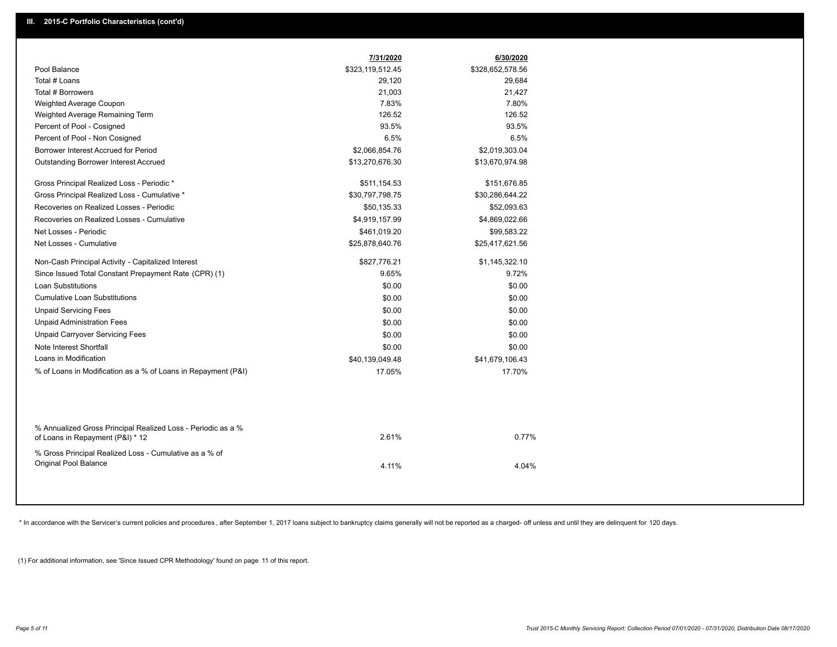|                                                                                                  | 7/31/2020        | 6/30/2020        |  |
|--------------------------------------------------------------------------------------------------|------------------|------------------|--|
| Pool Balance                                                                                     | \$323,119,512.45 | \$328,652,578.56 |  |
| Total # Loans                                                                                    | 29,120           | 29,684           |  |
| Total # Borrowers                                                                                | 21,003           | 21,427           |  |
| Weighted Average Coupon                                                                          | 7.83%            | 7.80%            |  |
| Weighted Average Remaining Term                                                                  | 126.52           | 126.52           |  |
| Percent of Pool - Cosigned                                                                       | 93.5%            | 93.5%            |  |
| Percent of Pool - Non Cosigned                                                                   | 6.5%             | 6.5%             |  |
| Borrower Interest Accrued for Period                                                             | \$2,066,854.76   | \$2,019,303.04   |  |
| Outstanding Borrower Interest Accrued                                                            | \$13,270,676.30  | \$13,670,974.98  |  |
| Gross Principal Realized Loss - Periodic *                                                       | \$511,154.53     | \$151,676.85     |  |
| Gross Principal Realized Loss - Cumulative *                                                     | \$30,797,798.75  | \$30,286,644.22  |  |
| Recoveries on Realized Losses - Periodic                                                         | \$50,135.33      | \$52,093.63      |  |
| Recoveries on Realized Losses - Cumulative                                                       | \$4,919,157.99   | \$4,869,022.66   |  |
| Net Losses - Periodic                                                                            | \$461,019.20     | \$99,583.22      |  |
| Net Losses - Cumulative                                                                          | \$25,878,640.76  | \$25,417,621.56  |  |
| Non-Cash Principal Activity - Capitalized Interest                                               | \$827,776.21     | \$1,145,322.10   |  |
| Since Issued Total Constant Prepayment Rate (CPR) (1)                                            | 9.65%            | 9.72%            |  |
| Loan Substitutions                                                                               | \$0.00           | \$0.00           |  |
| <b>Cumulative Loan Substitutions</b>                                                             | \$0.00           | \$0.00           |  |
| <b>Unpaid Servicing Fees</b>                                                                     | \$0.00           | \$0.00           |  |
| <b>Unpaid Administration Fees</b>                                                                | \$0.00           | \$0.00           |  |
| <b>Unpaid Carryover Servicing Fees</b>                                                           | \$0.00           | \$0.00           |  |
| Note Interest Shortfall                                                                          | \$0.00           | \$0.00           |  |
| Loans in Modification                                                                            | \$40,139,049.48  | \$41,679,106.43  |  |
| % of Loans in Modification as a % of Loans in Repayment (P&I)                                    | 17.05%           | 17.70%           |  |
|                                                                                                  |                  |                  |  |
| % Annualized Gross Principal Realized Loss - Periodic as a %<br>of Loans in Repayment (P&I) * 12 | 2.61%            | 0.77%            |  |
| % Gross Principal Realized Loss - Cumulative as a % of<br>Original Pool Balance                  | 4.11%            | 4.04%            |  |

\* In accordance with the Servicer's current policies and procedures, after September 1, 2017 loans subject to bankruptcy claims generally will not be reported as a charged- off unless and until they are delinquent for 120

(1) For additional information, see 'Since Issued CPR Methodology' found on page 11 of this report.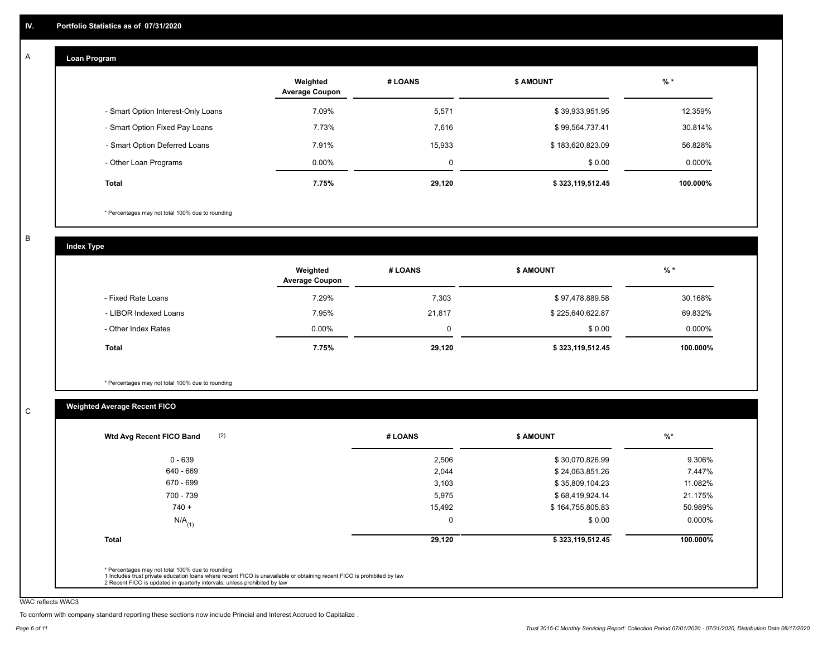#### **Loan Program**  A

|                                    | Weighted<br><b>Average Coupon</b> | # LOANS  | <b>\$ AMOUNT</b> | $%$ *    |
|------------------------------------|-----------------------------------|----------|------------------|----------|
| - Smart Option Interest-Only Loans | 7.09%                             | 5,571    | \$39,933,951.95  | 12.359%  |
| - Smart Option Fixed Pay Loans     | 7.73%                             | 7,616    | \$99,564,737.41  | 30.814%  |
| - Smart Option Deferred Loans      | 7.91%                             | 15,933   | \$183,620,823.09 | 56.828%  |
| - Other Loan Programs              | $0.00\%$                          | $\Omega$ | \$0.00           | 0.000%   |
| <b>Total</b>                       | 7.75%                             | 29,120   | \$323,119,512.45 | 100.000% |

\* Percentages may not total 100% due to rounding

B

C

**Index Type**

|                       | Weighted<br><b>Average Coupon</b> | # LOANS | <b>\$ AMOUNT</b> | % *       |
|-----------------------|-----------------------------------|---------|------------------|-----------|
| - Fixed Rate Loans    | 7.29%                             | 7,303   | \$97,478,889.58  | 30.168%   |
| - LIBOR Indexed Loans | 7.95%                             | 21,817  | \$225,640,622.87 | 69.832%   |
| - Other Index Rates   | $0.00\%$                          | 0       | \$0.00           | $0.000\%$ |
| Total                 | 7.75%                             | 29,120  | \$323,119,512.45 | 100.000%  |

\* Percentages may not total 100% due to rounding

## **Weighted Average Recent FICO**

|                      |        | <b>\$ AMOUNT</b> | $\frac{9}{6}$ * |
|----------------------|--------|------------------|-----------------|
| $0 - 639$            | 2,506  | \$30,070,826.99  | 9.306%          |
| 640 - 669            | 2,044  | \$24,063,851.26  | 7.447%          |
| 670 - 699            | 3,103  | \$35,809,104.23  | 11.082%         |
| 700 - 739            | 5,975  | \$68,419,924.14  | 21.175%         |
| $740 +$              | 15,492 | \$164,755,805.83 | 50.989%         |
| $N/A$ <sub>(1)</sub> | 0      | \$0.00           | $0.000\%$       |
| <b>Total</b>         | 29,120 | \$323,119,512.45 | 100.000%        |

WAC reflects WAC3

To conform with company standard reporting these sections now include Princial and Interest Accrued to Capitalize .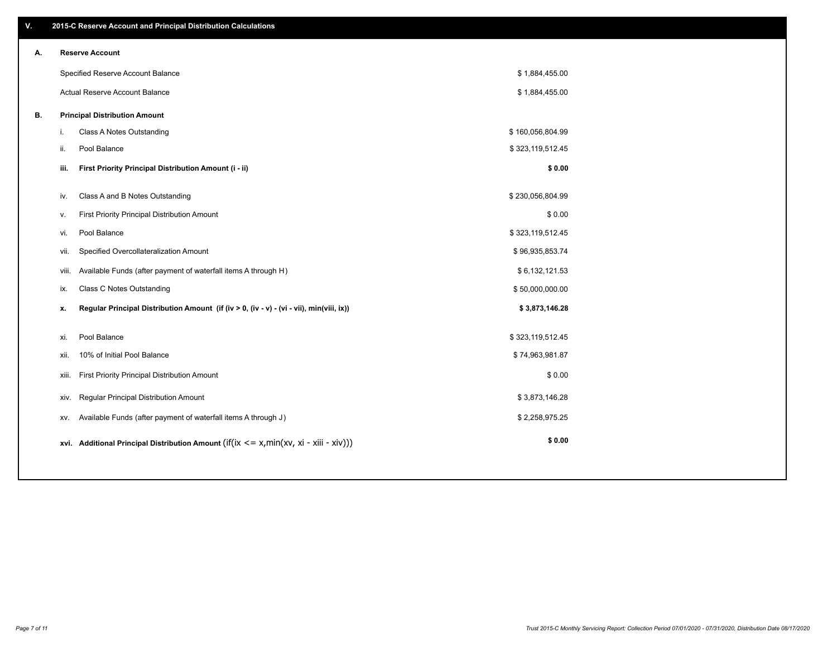| V. |       | 2015-C Reserve Account and Principal Distribution Calculations                             |                  |  |
|----|-------|--------------------------------------------------------------------------------------------|------------------|--|
| А. |       | <b>Reserve Account</b>                                                                     |                  |  |
|    |       | Specified Reserve Account Balance                                                          | \$1,884,455.00   |  |
|    |       | Actual Reserve Account Balance                                                             | \$1,884,455.00   |  |
| В. |       | <b>Principal Distribution Amount</b>                                                       |                  |  |
|    | i.    | Class A Notes Outstanding                                                                  | \$160,056,804.99 |  |
|    | ii.   | Pool Balance                                                                               | \$323,119,512.45 |  |
|    | iii.  | First Priority Principal Distribution Amount (i - ii)                                      | \$0.00           |  |
|    | iv.   | Class A and B Notes Outstanding                                                            | \$230,056,804.99 |  |
|    | v.    | First Priority Principal Distribution Amount                                               | \$0.00           |  |
|    | vi.   | Pool Balance                                                                               | \$323,119,512.45 |  |
|    | vii.  | Specified Overcollateralization Amount                                                     | \$96,935,853.74  |  |
|    | viii. | Available Funds (after payment of waterfall items A through H)                             | \$6,132,121.53   |  |
|    | ix.   | <b>Class C Notes Outstanding</b>                                                           | \$50,000,000.00  |  |
|    | х.    | Regular Principal Distribution Amount (if (iv > 0, (iv - v) - (vi - vii), min(viii, ix))   | \$3,873,146.28   |  |
|    |       |                                                                                            |                  |  |
|    | xi.   | Pool Balance                                                                               | \$323,119,512.45 |  |
|    | xii.  | 10% of Initial Pool Balance                                                                | \$74,963,981.87  |  |
|    | xiii. | First Priority Principal Distribution Amount                                               | \$0.00           |  |
|    | XIV.  | Regular Principal Distribution Amount                                                      | \$3,873,146.28   |  |
|    | XV.   | Available Funds (after payment of waterfall items A through J)                             | \$2,258,975.25   |  |
|    |       | xvi. Additional Principal Distribution Amount (if(ix $\lt$ = x, min(xv, xi - xiii - xiv))) | \$0.00           |  |
|    |       |                                                                                            |                  |  |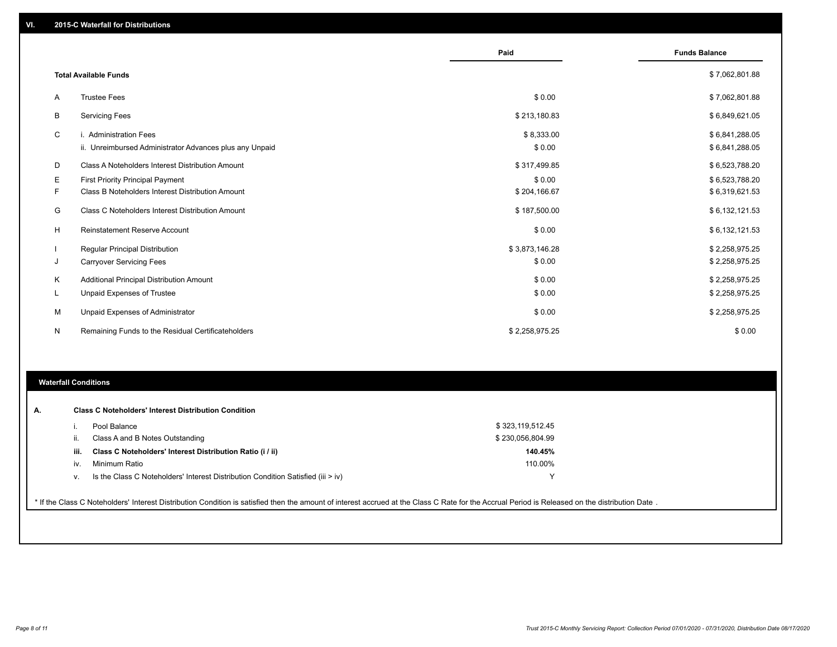|    |                                                         | Paid           | <b>Funds Balance</b> |
|----|---------------------------------------------------------|----------------|----------------------|
|    | <b>Total Available Funds</b>                            |                | \$7,062,801.88       |
| A  | <b>Trustee Fees</b>                                     | \$0.00         | \$7,062,801.88       |
| В  | <b>Servicing Fees</b>                                   | \$213,180.83   | \$6,849,621.05       |
| C  | i. Administration Fees                                  | \$8,333.00     | \$6,841,288.05       |
|    | ii. Unreimbursed Administrator Advances plus any Unpaid | \$0.00         | \$6,841,288.05       |
| D  | Class A Noteholders Interest Distribution Amount        | \$317,499.85   | \$6,523,788.20       |
| Е  | <b>First Priority Principal Payment</b>                 | \$0.00         | \$6,523,788.20       |
| F. | Class B Noteholders Interest Distribution Amount        | \$204,166.67   | \$6,319,621.53       |
| G  | Class C Noteholders Interest Distribution Amount        | \$187,500.00   | \$6,132,121.53       |
| H  | <b>Reinstatement Reserve Account</b>                    | \$0.00         | \$6,132,121.53       |
|    | Regular Principal Distribution                          | \$3,873,146.28 | \$2,258,975.25       |
| J  | <b>Carryover Servicing Fees</b>                         | \$0.00         | \$2,258,975.25       |
| Κ  | Additional Principal Distribution Amount                | \$0.00         | \$2,258,975.25       |
| L  | Unpaid Expenses of Trustee                              | \$0.00         | \$2,258,975.25       |
| M  | Unpaid Expenses of Administrator                        | \$0.00         | \$2,258,975.25       |
| N  | Remaining Funds to the Residual Certificateholders      | \$2,258,975.25 | \$0.00               |

## **Waterfall Conditions**

|      | Pool Balance                                                                     | \$323,119,512.45 |  |
|------|----------------------------------------------------------------------------------|------------------|--|
|      | Class A and B Notes Outstanding                                                  | \$230,056,804.99 |  |
| iii. | Class C Noteholders' Interest Distribution Ratio (i / ii)                        | 140.45%          |  |
| iv.  | Minimum Ratio                                                                    | 110.00%          |  |
| V.   | Is the Class C Noteholders' Interest Distribution Condition Satisfied (iii > iv) | $\lambda$        |  |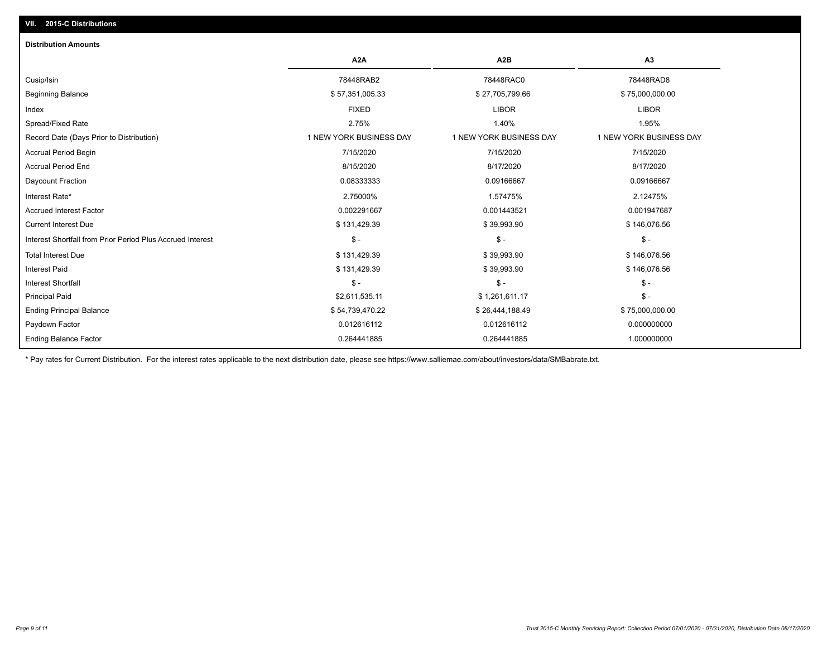## **VII. 2015-C Distributions**

| <b>Distribution Amounts</b>                                |                         |                         |                         |
|------------------------------------------------------------|-------------------------|-------------------------|-------------------------|
|                                                            | A <sub>2</sub> A        | A <sub>2</sub> B        | A3                      |
| Cusip/Isin                                                 | 78448RAB2               | 78448RAC0               | 78448RAD8               |
| <b>Beginning Balance</b>                                   | \$57,351,005.33         | \$27,705,799.66         | \$75,000,000.00         |
| Index                                                      | <b>FIXED</b>            | <b>LIBOR</b>            | <b>LIBOR</b>            |
| Spread/Fixed Rate                                          | 2.75%                   | 1.40%                   | 1.95%                   |
| Record Date (Days Prior to Distribution)                   | 1 NEW YORK BUSINESS DAY | 1 NEW YORK BUSINESS DAY | 1 NEW YORK BUSINESS DAY |
| <b>Accrual Period Begin</b>                                | 7/15/2020               | 7/15/2020               | 7/15/2020               |
| <b>Accrual Period End</b>                                  | 8/15/2020               | 8/17/2020               | 8/17/2020               |
| Daycount Fraction                                          | 0.08333333              | 0.09166667              | 0.09166667              |
| Interest Rate*                                             | 2.75000%                | 1.57475%                | 2.12475%                |
| <b>Accrued Interest Factor</b>                             | 0.002291667             | 0.001443521             | 0.001947687             |
| <b>Current Interest Due</b>                                | \$131,429.39            | \$39,993.90             | \$146,076.56            |
| Interest Shortfall from Prior Period Plus Accrued Interest | $\mathsf{\$}$ -         | $$ -$                   | $$ -$                   |
| <b>Total Interest Due</b>                                  | \$131,429.39            | \$39,993.90             | \$146,076.56            |
| <b>Interest Paid</b>                                       | \$131,429.39            | \$39,993.90             | \$146,076.56            |
| <b>Interest Shortfall</b>                                  | $\mathcal{S}$ -         | $$ -$                   | $$ -$                   |
| <b>Principal Paid</b>                                      | \$2,611,535.11          | \$1,261,611.17          | $$ -$                   |
| <b>Ending Principal Balance</b>                            | \$54,739,470.22         | \$26,444,188.49         | \$75,000,000.00         |
| Paydown Factor                                             | 0.012616112             | 0.012616112             | 0.000000000             |
| <b>Ending Balance Factor</b>                               | 0.264441885             | 0.264441885             | 1.000000000             |

\* Pay rates for Current Distribution. For the interest rates applicable to the next distribution date, please see https://www.salliemae.com/about/investors/data/SMBabrate.txt.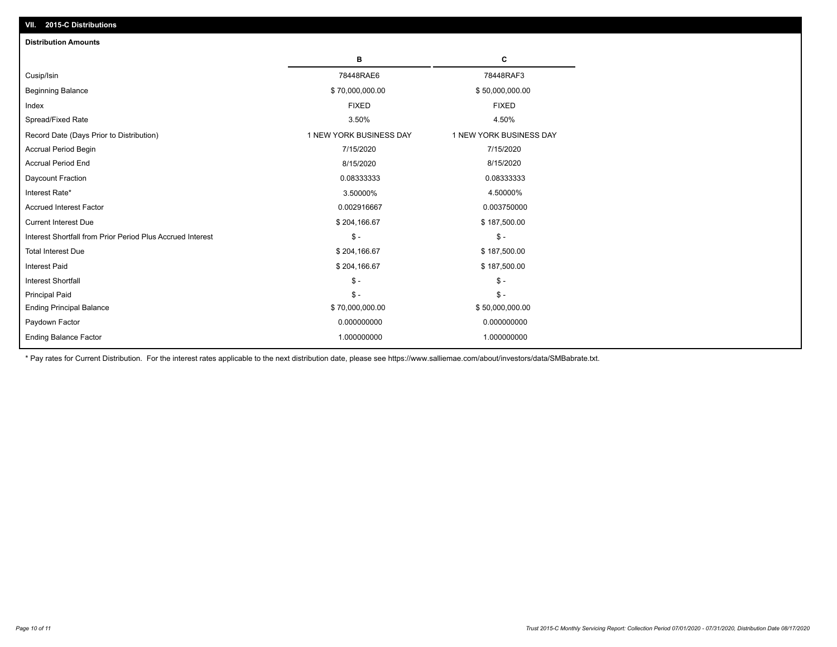| VII. 2015-C Distributions                                                                        |  |
|--------------------------------------------------------------------------------------------------|--|
| <b>Distribution Amounts</b>                                                                      |  |
| в<br>c                                                                                           |  |
| 78448RAE6<br>78448RAF3<br>Cusip/Isin                                                             |  |
| <b>Beginning Balance</b><br>\$70,000,000.00<br>\$50,000,000.00                                   |  |
| <b>FIXED</b><br><b>FIXED</b><br>Index                                                            |  |
| Spread/Fixed Rate<br>3.50%<br>4.50%                                                              |  |
| 1 NEW YORK BUSINESS DAY<br>1 NEW YORK BUSINESS DAY<br>Record Date (Days Prior to Distribution)   |  |
| 7/15/2020<br><b>Accrual Period Begin</b><br>7/15/2020                                            |  |
| <b>Accrual Period End</b><br>8/15/2020<br>8/15/2020                                              |  |
| Daycount Fraction<br>0.08333333<br>0.08333333                                                    |  |
| Interest Rate*<br>3.50000%<br>4.50000%                                                           |  |
| <b>Accrued Interest Factor</b><br>0.002916667<br>0.003750000                                     |  |
| <b>Current Interest Due</b><br>\$204,166.67<br>\$187,500.00                                      |  |
| Interest Shortfall from Prior Period Plus Accrued Interest<br>$\mathsf{\$}$ -<br>$\mathsf{\$}$ - |  |
| <b>Total Interest Due</b><br>\$204,166.67<br>\$187,500.00                                        |  |
| <b>Interest Paid</b><br>\$204,166.67<br>\$187,500.00                                             |  |
| $\mathcal{S}$ -<br><b>Interest Shortfall</b><br>$\mathsf{\$}$ -                                  |  |
| $\mathsf{\$}$ -<br><b>Principal Paid</b><br>$S -$                                                |  |
| \$70,000,000.00<br>\$50,000,000.00<br><b>Ending Principal Balance</b>                            |  |
| Paydown Factor<br>0.000000000<br>0.000000000                                                     |  |
| <b>Ending Balance Factor</b><br>1.000000000<br>1.000000000                                       |  |

\* Pay rates for Current Distribution. For the interest rates applicable to the next distribution date, please see https://www.salliemae.com/about/investors/data/SMBabrate.txt.